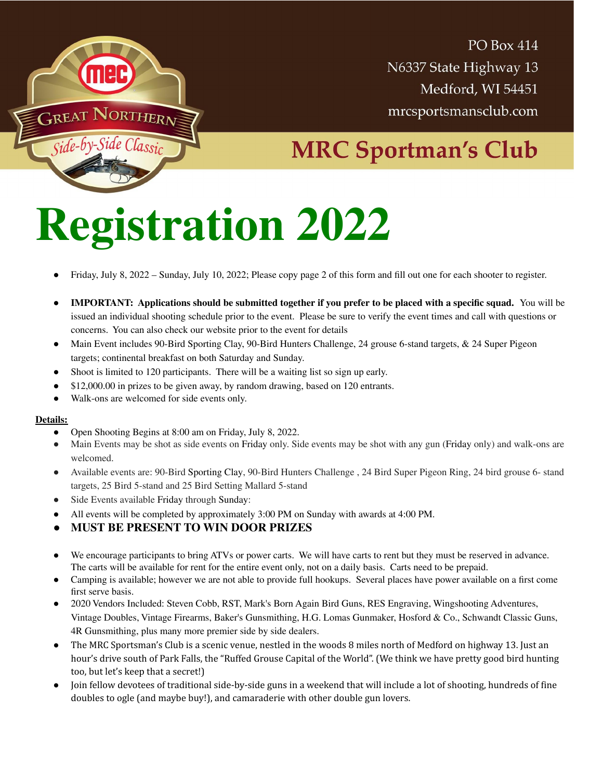

**PO Box 414** N6337 State Highway 13 Medford, WI 54451 mrcsportsmansclub.com

## **MRC Sportman's Club**

## **Registration 2022**

- Friday, July 8, 2022 Sunday, July 10, 2022; Please copy page 2 of this form and fill out one for each shooter to register.
- **IMPORTANT:** Applications should be submitted together if you prefer to be placed with a specific squad. You will be issued an individual shooting schedule prior to the event. Please be sure to verify the event times and call with questions or concerns. You can also check our website prior to the event for details
- Main Event includes 90-Bird Sporting Clay, 90-Bird Hunters Challenge, 24 grouse 6-stand targets, & 24 Super Pigeon targets; continental breakfast on both Saturday and Sunday.
- Shoot is limited to 120 participants. There will be a waiting list so sign up early.
- \$12,000.00 in prizes to be given away, by random drawing, based on 120 entrants.
- Walk-ons are welcomed for side events only.

## **Details:**

- Open Shooting Begins at 8:00 am on Friday, July 8, 2022.
- Main Events may be shot as side events on Friday only. Side events may be shot with any gun (Friday only) and walk-ons are welcomed.
- Available events are: 90-Bird Sporting Clay, 90-Bird Hunters Challenge , 24 Bird Super Pigeon Ring, 24 bird grouse 6- stand targets, 25 Bird 5-stand and 25 Bird Setting Mallard 5-stand
- Side Events available Friday through Sunday:
- All events will be completed by approximately 3:00 PM on Sunday with awards at 4:00 PM.
- **MUST BE PRESENT TO WIN DOOR PRIZES**
- We encourage participants to bring ATVs or power carts. We will have carts to rent but they must be reserved in advance. The carts will be available for rent for the entire event only, not on a daily basis. Carts need to be prepaid.
- Camping is available; however we are not able to provide full hookups. Several places have power available on a first come first serve basis.
- 2020 Vendors Included: Steven Cobb, RST, Mark's Born Again Bird Guns, RES Engraving, Wingshooting Adventures, Vintage Doubles, Vintage Firearms, Baker's Gunsmithing, H.G. Lomas Gunmaker, Hosford & Co., Schwandt Classic Guns, 4R Gunsmithing, plus many more premier side by side dealers.
- The MRC Sportsman's Club is a scenic venue, nestled in the woods 8 miles north of Medford on highway 13. Just an hour's drive south of Park Falls, the "Ruffed Grouse Capital of the World". (We think we have pretty good bird hunting too, but let's keep that a secret!)
- Join fellow devotees of traditional side-by-side guns in a weekend that will include a lot of shooting, hundreds of fine doubles to ogle (and maybe buy!), and camaraderie with other double gun lovers.